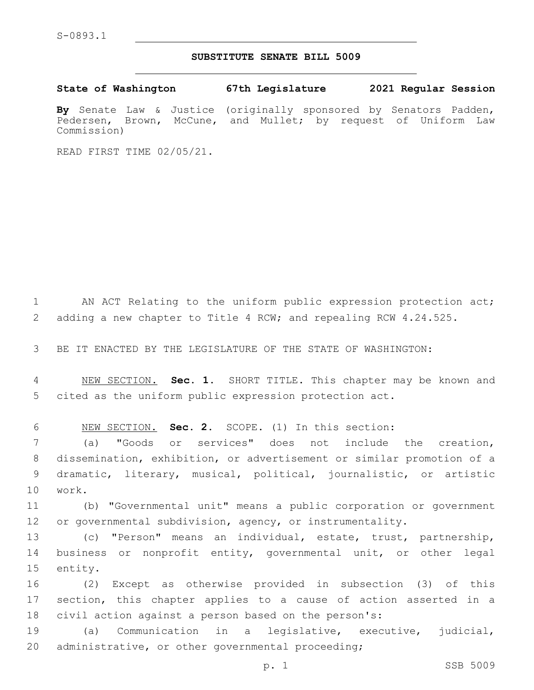## **SUBSTITUTE SENATE BILL 5009**

**State of Washington 67th Legislature 2021 Regular Session**

**By** Senate Law & Justice (originally sponsored by Senators Padden, Pedersen, Brown, McCune, and Mullet; by request of Uniform Law Commission)

READ FIRST TIME 02/05/21.

1 AN ACT Relating to the uniform public expression protection act; 2 adding a new chapter to Title 4 RCW; and repealing RCW 4.24.525.

3 BE IT ENACTED BY THE LEGISLATURE OF THE STATE OF WASHINGTON:

4 NEW SECTION. **Sec. 1.** SHORT TITLE. This chapter may be known and 5 cited as the uniform public expression protection act.

6 NEW SECTION. **Sec. 2.** SCOPE. (1) In this section:

 (a) "Goods or services" does not include the creation, dissemination, exhibition, or advertisement or similar promotion of a dramatic, literary, musical, political, journalistic, or artistic 10 work.

11 (b) "Governmental unit" means a public corporation or government 12 or governmental subdivision, agency, or instrumentality.

13 (c) "Person" means an individual, estate, trust, partnership, 14 business or nonprofit entity, governmental unit, or other legal 15 entity.

16 (2) Except as otherwise provided in subsection (3) of this 17 section, this chapter applies to a cause of action asserted in a 18 civil action against a person based on the person's:

19 (a) Communication in a legislative, executive, judicial, 20 administrative, or other governmental proceeding;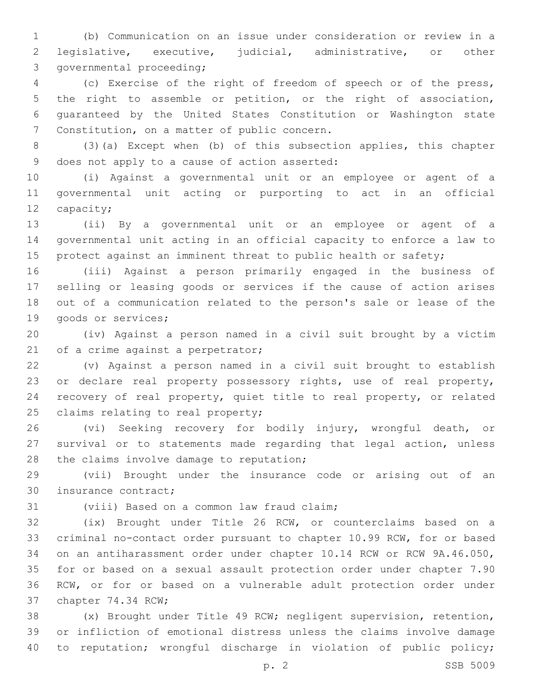(b) Communication on an issue under consideration or review in a legislative, executive, judicial, administrative, or other 3 governmental proceeding;

 (c) Exercise of the right of freedom of speech or of the press, the right to assemble or petition, or the right of association, guaranteed by the United States Constitution or Washington state 7 Constitution, on a matter of public concern.

 (3)(a) Except when (b) of this subsection applies, this chapter 9 does not apply to a cause of action asserted:

 (i) Against a governmental unit or an employee or agent of a governmental unit acting or purporting to act in an official 12 capacity;

 (ii) By a governmental unit or an employee or agent of a governmental unit acting in an official capacity to enforce a law to protect against an imminent threat to public health or safety;

 (iii) Against a person primarily engaged in the business of selling or leasing goods or services if the cause of action arises out of a communication related to the person's sale or lease of the 19 goods or services;

 (iv) Against a person named in a civil suit brought by a victim 21 of a crime against a perpetrator;

 (v) Against a person named in a civil suit brought to establish or declare real property possessory rights, use of real property, recovery of real property, quiet title to real property, or related 25 claims relating to real property;

 (vi) Seeking recovery for bodily injury, wrongful death, or survival or to statements made regarding that legal action, unless 28 the claims involve damage to reputation;

 (vii) Brought under the insurance code or arising out of an 30 insurance contract;

31 (viii) Based on a common law fraud claim;

 (ix) Brought under Title 26 RCW, or counterclaims based on a criminal no-contact order pursuant to chapter 10.99 RCW, for or based on an antiharassment order under chapter 10.14 RCW or RCW 9A.46.050, for or based on a sexual assault protection order under chapter 7.90 RCW, or for or based on a vulnerable adult protection order under 37 chapter 74.34 RCW;

 (x) Brought under Title 49 RCW; negligent supervision, retention, or infliction of emotional distress unless the claims involve damage to reputation; wrongful discharge in violation of public policy;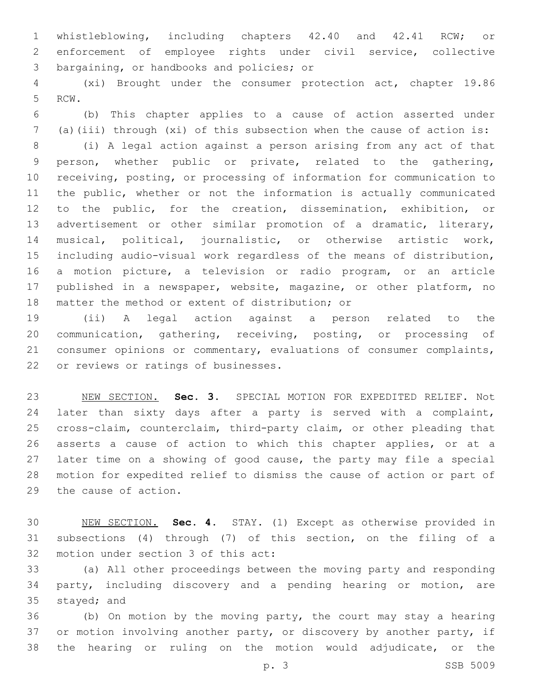whistleblowing, including chapters 42.40 and 42.41 RCW; or enforcement of employee rights under civil service, collective 3 bargaining, or handbooks and policies; or

 (xi) Brought under the consumer protection act, chapter 19.86 5 RCW.

 (b) This chapter applies to a cause of action asserted under (a)(iii) through (xi) of this subsection when the cause of action is:

 (i) A legal action against a person arising from any act of that person, whether public or private, related to the gathering, receiving, posting, or processing of information for communication to the public, whether or not the information is actually communicated to the public, for the creation, dissemination, exhibition, or advertisement or other similar promotion of a dramatic, literary, musical, political, journalistic, or otherwise artistic work, including audio-visual work regardless of the means of distribution, a motion picture, a television or radio program, or an article published in a newspaper, website, magazine, or other platform, no 18 matter the method or extent of distribution; or

 (ii) A legal action against a person related to the communication, gathering, receiving, posting, or processing of consumer opinions or commentary, evaluations of consumer complaints, 22 or reviews or ratings of businesses.

 NEW SECTION. **Sec. 3.** SPECIAL MOTION FOR EXPEDITED RELIEF. Not later than sixty days after a party is served with a complaint, cross-claim, counterclaim, third-party claim, or other pleading that asserts a cause of action to which this chapter applies, or at a later time on a showing of good cause, the party may file a special motion for expedited relief to dismiss the cause of action or part of the cause of action.

 NEW SECTION. **Sec. 4.** STAY. (1) Except as otherwise provided in subsections (4) through (7) of this section, on the filing of a motion under section 3 of this act:

 (a) All other proceedings between the moving party and responding party, including discovery and a pending hearing or motion, are 35 stayed; and

 (b) On motion by the moving party, the court may stay a hearing 37 or motion involving another party, or discovery by another party, if the hearing or ruling on the motion would adjudicate, or the

p. 3 SSB 5009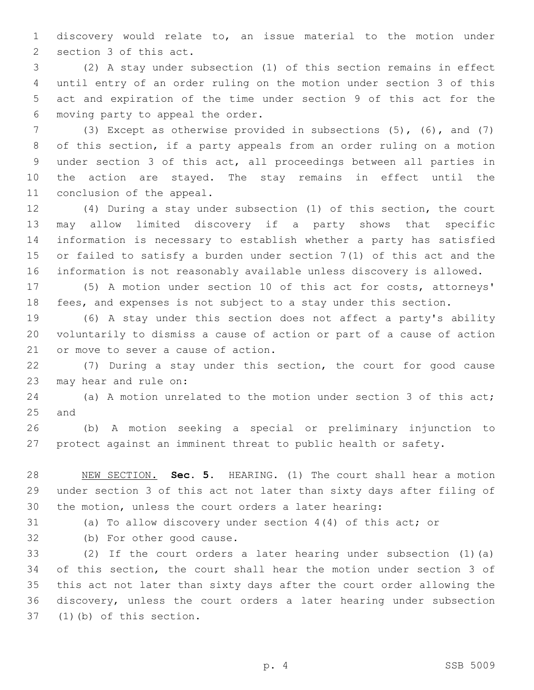discovery would relate to, an issue material to the motion under 2 section 3 of this act.

 (2) A stay under subsection (1) of this section remains in effect until entry of an order ruling on the motion under section 3 of this act and expiration of the time under section 9 of this act for the 6 moving party to appeal the order.

 (3) Except as otherwise provided in subsections (5), (6), and (7) of this section, if a party appeals from an order ruling on a motion under section 3 of this act, all proceedings between all parties in the action are stayed. The stay remains in effect until the 11 conclusion of the appeal.

 (4) During a stay under subsection (1) of this section, the court may allow limited discovery if a party shows that specific information is necessary to establish whether a party has satisfied or failed to satisfy a burden under section 7(1) of this act and the information is not reasonably available unless discovery is allowed.

 (5) A motion under section 10 of this act for costs, attorneys' fees, and expenses is not subject to a stay under this section.

 (6) A stay under this section does not affect a party's ability voluntarily to dismiss a cause of action or part of a cause of action 21 or move to sever a cause of action.

 (7) During a stay under this section, the court for good cause 23 may hear and rule on:

 (a) A motion unrelated to the motion under section 3 of this act; 25 and

 (b) A motion seeking a special or preliminary injunction to protect against an imminent threat to public health or safety.

 NEW SECTION. **Sec. 5.** HEARING. (1) The court shall hear a motion under section 3 of this act not later than sixty days after filing of the motion, unless the court orders a later hearing:

(a) To allow discovery under section 4(4) of this act; or

32 (b) For other good cause.

 (2) If the court orders a later hearing under subsection (1)(a) of this section, the court shall hear the motion under section 3 of this act not later than sixty days after the court order allowing the discovery, unless the court orders a later hearing under subsection 37 (1)(b) of this section.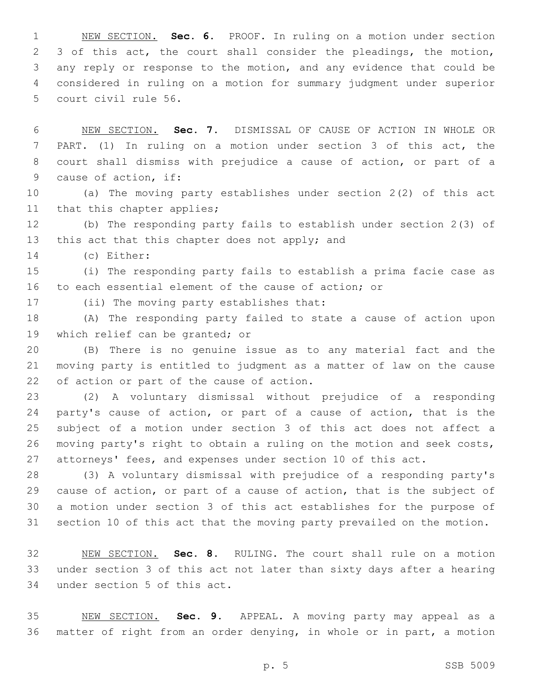NEW SECTION. **Sec. 6.** PROOF. In ruling on a motion under section 2 3 of this act, the court shall consider the pleadings, the motion, any reply or response to the motion, and any evidence that could be considered in ruling on a motion for summary judgment under superior court civil rule 56.

 NEW SECTION. **Sec. 7.** DISMISSAL OF CAUSE OF ACTION IN WHOLE OR PART. (1) In ruling on a motion under section 3 of this act, the court shall dismiss with prejudice a cause of action, or part of a cause of action, if:

 (a) The moving party establishes under section 2(2) of this act 11 that this chapter applies;

 (b) The responding party fails to establish under section 2(3) of 13 this act that this chapter does not apply; and

(c) Either:14

 (i) The responding party fails to establish a prima facie case as to each essential element of the cause of action; or

17 (ii) The moving party establishes that:

 (A) The responding party failed to state a cause of action upon 19 which relief can be granted; or

 (B) There is no genuine issue as to any material fact and the moving party is entitled to judgment as a matter of law on the cause 22 of action or part of the cause of action.

 (2) A voluntary dismissal without prejudice of a responding party's cause of action, or part of a cause of action, that is the subject of a motion under section 3 of this act does not affect a moving party's right to obtain a ruling on the motion and seek costs, 27 attorneys' fees, and expenses under section 10 of this act.

 (3) A voluntary dismissal with prejudice of a responding party's cause of action, or part of a cause of action, that is the subject of a motion under section 3 of this act establishes for the purpose of section 10 of this act that the moving party prevailed on the motion.

 NEW SECTION. **Sec. 8.** RULING. The court shall rule on a motion under section 3 of this act not later than sixty days after a hearing under section 5 of this act.

 NEW SECTION. **Sec. 9.** APPEAL. A moving party may appeal as a matter of right from an order denying, in whole or in part, a motion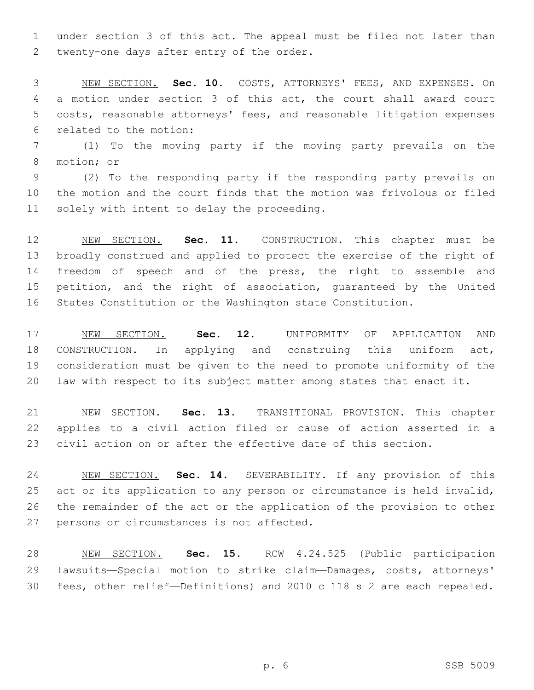under section 3 of this act. The appeal must be filed not later than 2 twenty-one days after entry of the order.

 NEW SECTION. **Sec. 10.** COSTS, ATTORNEYS' FEES, AND EXPENSES. On a motion under section 3 of this act, the court shall award court costs, reasonable attorneys' fees, and reasonable litigation expenses related to the motion:

 (1) To the moving party if the moving party prevails on the 8 motion; or

 (2) To the responding party if the responding party prevails on the motion and the court finds that the motion was frivolous or filed 11 solely with intent to delay the proceeding.

 NEW SECTION. **Sec. 11.** CONSTRUCTION. This chapter must be broadly construed and applied to protect the exercise of the right of freedom of speech and of the press, the right to assemble and petition, and the right of association, guaranteed by the United States Constitution or the Washington state Constitution.

 NEW SECTION. **Sec. 12.** UNIFORMITY OF APPLICATION AND CONSTRUCTION. In applying and construing this uniform act, consideration must be given to the need to promote uniformity of the law with respect to its subject matter among states that enact it.

 NEW SECTION. **Sec. 13.** TRANSITIONAL PROVISION. This chapter applies to a civil action filed or cause of action asserted in a civil action on or after the effective date of this section.

 NEW SECTION. **Sec. 14.** SEVERABILITY. If any provision of this act or its application to any person or circumstance is held invalid, the remainder of the act or the application of the provision to other persons or circumstances is not affected.

 NEW SECTION. **Sec. 15.** RCW 4.24.525 (Public participation lawsuits—Special motion to strike claim—Damages, costs, attorneys' fees, other relief—Definitions) and 2010 c 118 s 2 are each repealed.